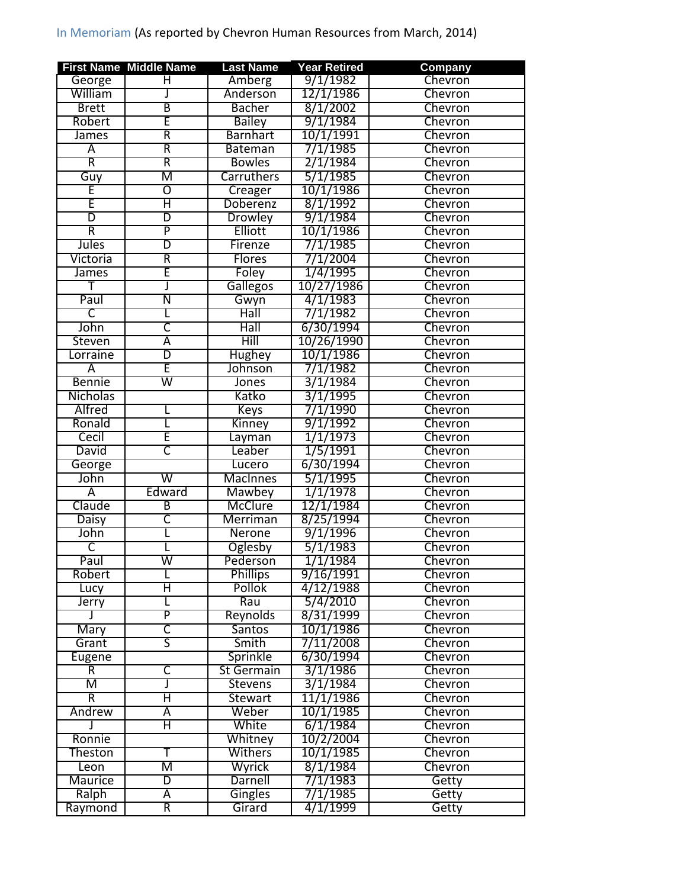## In Memoriam (As reported by Chevron Human Resources from March, 2014)

|                         | <b>First Name Middle Name</b> | <b>Last Name</b>  | <b>Year Retired</b> | Company        |
|-------------------------|-------------------------------|-------------------|---------------------|----------------|
| George                  | H                             | Amberg            | 9/1/1982            | Chevron        |
| William                 |                               | Anderson          | 12/1/1986           | Chevron        |
| <b>Brett</b>            | $\overline{\mathsf{B}}$       | <b>Bacher</b>     | 8/1/2002            | Chevron        |
| Robert                  | Ē                             | <b>Bailey</b>     | 9/1/1984            | Chevron        |
| James                   | R                             | <b>Barnhart</b>   | 10/1/1991           | Chevron        |
| Ā                       | R                             | <b>Bateman</b>    | 7/1/1985            | Chevron        |
| R                       | R                             | <b>Bowles</b>     | 2/1/1984            | Chevron        |
| Guy                     | M                             | Carruthers        | 5/1/1985            | Chevron        |
| E                       | $\overline{\mathbb{O}}$       | Creager           | 10/1/1986           | <b>Chevron</b> |
| Ē                       | Η                             | Doberenz          | 8/1/1992            | Chevron        |
| $\overline{\mathsf{D}}$ | D                             | <b>Drowley</b>    | 9/1/1984            | Chevron        |
| $\overline{\mathsf{R}}$ | $\overline{\mathsf{P}}$       | Elliott           | 10/1/1986           | Chevron        |
| <b>Jules</b>            | D                             | Firenze           | 7/1/1985            | Chevron        |
| Victoria                | R                             | <b>Flores</b>     | 7/1/2004            | Chevron        |
| James                   | Ē                             | Foley             | 1/4/1995            | Chevron        |
| т                       | J                             | <b>Gallegos</b>   | 10/27/1986          | Chevron        |
| Paul                    | Ν                             | Gwyn              | 4/1/1983            | Chevron        |
| C                       | L                             | Hall              | 7/1/1982            | Chevron        |
| John                    | $\overline{\mathsf{C}}$       | Hall              | 6/30/1994           | Chevron        |
| Steven                  | Ā                             | Hill              | 10/26/1990          | Chevron        |
| Lorraine                | D                             | <b>Hughey</b>     | 10/1/1986           | Chevron        |
| Ā                       | E                             | Johnson           | 7/1/1982            | Chevron        |
| <b>Bennie</b>           | $\overline{\mathsf{w}}$       | Jones             | 3/1/1984            | Chevron        |
| <b>Nicholas</b>         |                               | Katko             | 3/1/1995            | Chevron        |
| <b>Alfred</b>           |                               | <b>Keys</b>       | 7/1/1990            | Chevron        |
| Ronald                  |                               | Kinney            | 9/1/1992            | Chevron        |
| Cecil                   | E                             | Layman            | 1/1/1973            | Chevron        |
| David                   | $\overline{\mathsf{C}}$       | Leaber            | 1/5/1991            | Chevron        |
| George                  |                               | Lucero            | 6/30/1994           | Chevron        |
| John                    | $\overline{\mathsf{w}}$       | <b>MacInnes</b>   | 5/1/1995            | Chevron        |
| Ā                       | Edward                        | <b>Mawbey</b>     | 1/1/1978            | Chevron        |
| Claude                  | B                             | McClure           | 12/1/1984           | Chevron        |
| <b>Daisy</b>            | $\overline{\mathsf{C}}$       | Merriman          | 8/25/1994           | Chevron        |
| John                    |                               | <b>Nerone</b>     | 9/1/1996            | <b>Chevron</b> |
| τ                       |                               | Oglesby           | 5/1/1983            | Chevron        |
| Paul                    | $\overline{\mathsf{w}}$       | Pederson          | 1/1/1984            | Chevron        |
| Robert                  |                               | <b>Phillips</b>   | 9/16/1991           | <b>Chevron</b> |
| Lucy                    | Η                             | Pollok            | 4/12/1988           | Chevron        |
| Jerry                   |                               | Rau               | 5/4/2010            | Chevron        |
| J                       | P                             | Reynolds          | 8/31/1999           | Chevron        |
| <b>Mary</b>             | $\overline{\mathsf{C}}$       | <b>Santos</b>     | 10/1/1986           | Chevron        |
| Grant                   | $\overline{\mathsf{S}}$       | Smith             | 7/11/2008           | Chevron        |
| <b>Eugene</b>           |                               | Sprinkle          | 6/30/1994           | <b>Chevron</b> |
| $\overline{\mathsf{R}}$ | С                             | <b>St Germain</b> | 3/1/1986            | Chevron        |
| M                       | J                             | Stevens           | 3/1/1984            | Chevron        |
| R                       | Η                             | <b>Stewart</b>    | 11/1/1986           | Chevron        |
| Andrew                  | Ā                             | Weber             | 10/1/1985           | Chevron        |
|                         | Η                             | White             | 6/1/1984            | Chevron        |
| Ronnie                  |                               | Whitney           | 10/2/2004           | Chevron        |
| Theston                 | т                             | Withers           | 10/1/1985           | Chevron        |
| Leon                    | Μ                             | Wyrick            | 8/1/1984            | Chevron        |
| <b>Maurice</b>          | D                             | <b>Darnell</b>    | 7/1/1983            | <b>Getty</b>   |
| Ralph                   | Ā                             | Gingles           | 7/1/1985            | Getty          |
| Raymond                 | R                             | Girard            | 4/1/1999            | Getty          |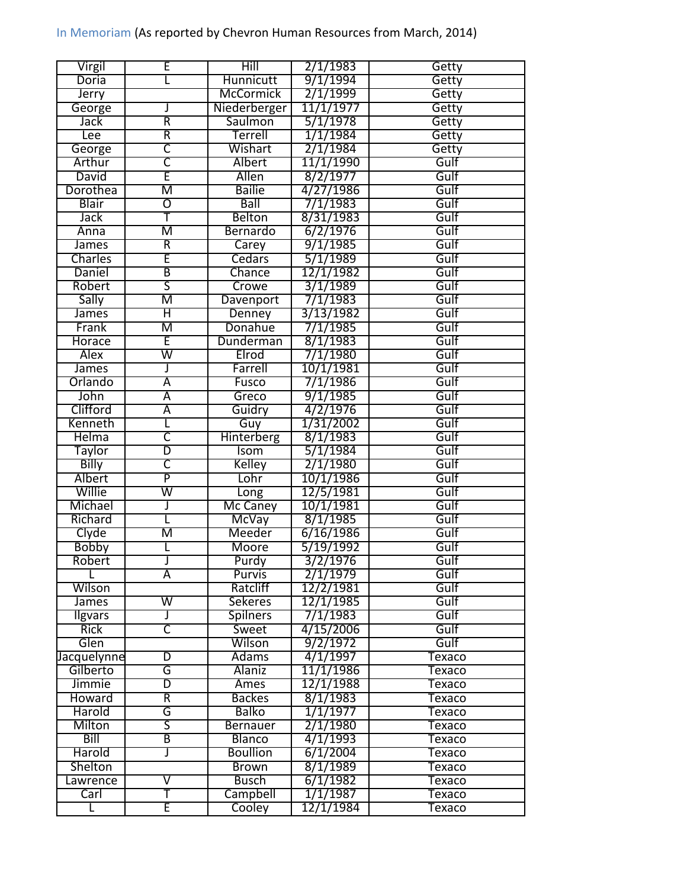| Virgil         | E                         | Hill             | 2/1/1983  | Getty  |
|----------------|---------------------------|------------------|-----------|--------|
| Doria          |                           | Hunnicutt        | 9/1/1994  | Getty  |
| Jerry          |                           | <b>McCormick</b> | 2/1/1999  | Getty  |
| George         |                           | Niederberger     | 11/1/1977 | Getty  |
| Jack           | R                         | Saulmon          | 5/1/1978  | Getty  |
| Lee            | R                         | Terrell          | 1/1/1984  | Getty  |
| George         | ᠸ                         | Wishart          | 2/1/1984  | Getty  |
| Arthur         | $\overline{\mathsf{C}}$   | Albert           | 11/1/1990 | Gulf   |
| David          | E                         | Allen            | 8/2/1977  | Gulf   |
| Dorothea       | M                         | <b>Bailie</b>    | 4/27/1986 | Gulf   |
| Blair          | $\overline{\mathfrak{o}}$ | Ball             | 7/1/1983  | Gulf   |
| <b>Jack</b>    | Ŧ                         | <b>Belton</b>    | 8/31/1983 | Gulf   |
| Anna           | M                         | Bernardo         | 6/2/1976  | Gulf   |
| James          | $\overline{\mathsf{R}}$   | Carey            | 9/1/1985  | Gulf   |
| Charles        | Έ                         | Cedars           | 5/1/1989  | Gulf   |
| Daniel         | B                         | Chance           | 12/1/1982 | Gulf   |
| Robert         | $\overline{\mathsf{S}}$   | Crowe            | 3/1/1989  | Gulf   |
| Sally          | М                         | <b>Davenport</b> | 7/1/1983  | Gulf   |
| James          | Η                         | Denney           | 3/13/1982 | Gulf   |
| Frank          | M                         | Donahue          | 7/1/1985  | Gulf   |
| Horace         | Έ                         | Dunderman        | 8/1/1983  | Gulf   |
| <b>Alex</b>    | W                         | Elrod            | 7/1/1980  | Gulf   |
| James          | J                         | Farrell          | 10/1/1981 | Gulf   |
| Orlando        | $\overline{\mathsf{A}}$   | Fusco            | 7/1/1986  | Gulf   |
| John           | Ā                         | Greco            | 9/1/1985  | Gulf   |
| Clifford       | $\overline{\mathsf{A}}$   | Guidry           | 4/2/1976  | Gulf   |
| Kenneth        |                           | Guy              | 1/31/2002 | Gulf   |
| <b>Helma</b>   | C                         | Hinterberg       | 8/1/1983  | Gulf   |
| <b>Taylor</b>  | $\overline{\mathbb{D}}$   | <b>Isom</b>      | 5/1/1984  | Gulf   |
| Billy          | C                         | Kelley           | 2/1/1980  | Gulf   |
| Albert         | P                         | Lohr             | 10/1/1986 | Gulf   |
| Willie         | $\overline{\mathsf{w}}$   | Long             | 12/5/1981 | Gulf   |
| Michael        | J                         | Mc Caney         | 10/1/1981 | Gulf   |
| Richard        |                           | McVay            | 8/1/1985  | Gulf   |
| Clyde          | M                         | Meeder           | 6/16/1986 | Gulf   |
| Bobby          |                           | Moore            | 5/19/1992 | Gulf   |
| Robert         |                           | Purdy            | 3/2/1976  | Gulf   |
| L              | $\overline{\mathsf{A}}$   | Purvis           | 2/1/1979  | Gulf   |
| Wilson         |                           | Ratcliff         | 12/2/1981 | Gulf   |
| <b>James</b>   | W                         | <b>Sekeres</b>   | 12/1/1985 | Gulf   |
| <b>Ilgvars</b> | J                         | <b>Spilners</b>  | 7/1/1983  | Gulf   |
| <b>Rick</b>    | Ⴀ                         | Sweet            | 4/15/2006 | Gulf   |
| Glen           |                           | Wilson           | 9/2/1972  | Gulf   |
| Jacquelynne    | D                         | <b>Adams</b>     | 4/1/1997  | Texaco |
| Gilberto       | G                         | <b>Alaniz</b>    | 11/1/1986 | Texaco |
| Jimmie         | D                         | Ames             | 12/1/1988 | Texaco |
| Howard         | R                         | <b>Backes</b>    | 8/1/1983  | Texaco |
| Harold         | G                         | <b>Balko</b>     | 1/1/1977  | Texaco |
| Milton         | $\overline{\mathsf{S}}$   | <b>Bernauer</b>  | 2/1/1980  | Texaco |
| Bill           | $\overline{\mathsf{B}}$   | <b>Blanco</b>    | 4/1/1993  | Texaco |
| Harold         | J                         | <b>Boullion</b>  | 6/1/2004  | Texaco |
| Shelton        |                           | <b>Brown</b>     | 8/1/1989  | Texaco |
| Lawrence       | $\overline{\mathsf{V}}$   | <b>Busch</b>     | 6/1/1982  | Texaco |
| Carl           | T                         | Campbell         | 1/1/1987  | Texaco |
|                | Έ                         | Cooley           | 12/1/1984 | Texaco |